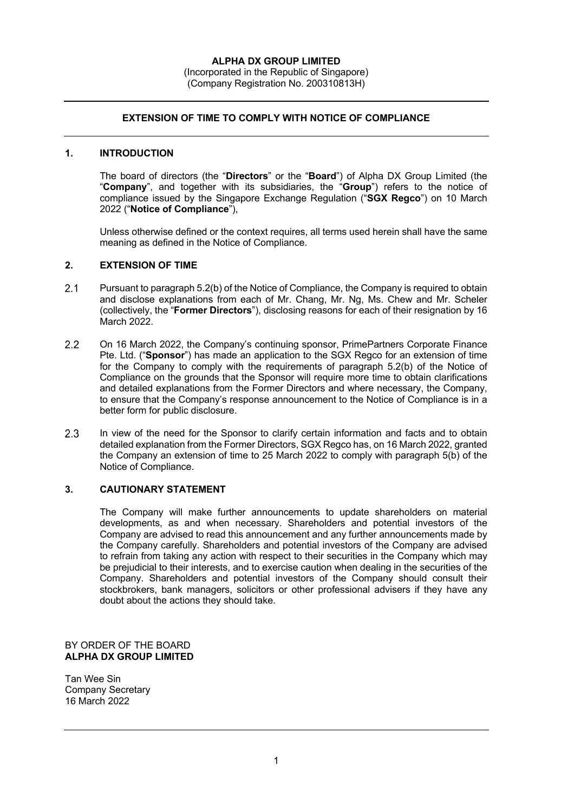## **EXTENSION OF TIME TO COMPLY WITH NOTICE OF COMPLIANCE**

## **1. INTRODUCTION**

The board of directors (the "**Directors**" or the "**Board**") of Alpha DX Group Limited (the "**Company**", and together with its subsidiaries, the "**Group**") refers to the notice of compliance issued by the Singapore Exchange Regulation ("**SGX Regco**") on 10 March 2022 ("**Notice of Compliance**"),

Unless otherwise defined or the context requires, all terms used herein shall have the same meaning as defined in the Notice of Compliance.

## **2. EXTENSION OF TIME**

- $2.1$ Pursuant to paragraph 5.2(b) of the Notice of Compliance, the Company is required to obtain and disclose explanations from each of Mr. Chang, Mr. Ng, Ms. Chew and Mr. Scheler (collectively, the "**Former Directors**"), disclosing reasons for each of their resignation by 16 March 2022.
- $2.2$ On 16 March 2022, the Company's continuing sponsor, PrimePartners Corporate Finance Pte. Ltd. ("**Sponsor**") has made an application to the SGX Regco for an extension of time for the Company to comply with the requirements of paragraph 5.2(b) of the Notice of Compliance on the grounds that the Sponsor will require more time to obtain clarifications and detailed explanations from the Former Directors and where necessary, the Company, to ensure that the Company's response announcement to the Notice of Compliance is in a better form for public disclosure.
- $2.3$ In view of the need for the Sponsor to clarify certain information and facts and to obtain detailed explanation from the Former Directors, SGX Regco has, on 16 March 2022, granted the Company an extension of time to 25 March 2022 to comply with paragraph 5(b) of the Notice of Compliance.

## **3. CAUTIONARY STATEMENT**

The Company will make further announcements to update shareholders on material developments, as and when necessary. Shareholders and potential investors of the Company are advised to read this announcement and any further announcements made by the Company carefully. Shareholders and potential investors of the Company are advised to refrain from taking any action with respect to their securities in the Company which may be prejudicial to their interests, and to exercise caution when dealing in the securities of the Company. Shareholders and potential investors of the Company should consult their stockbrokers, bank managers, solicitors or other professional advisers if they have any doubt about the actions they should take.

BY ORDER OF THE BOARD **ALPHA DX GROUP LIMITED**

Tan Wee Sin Company Secretary 16 March 2022